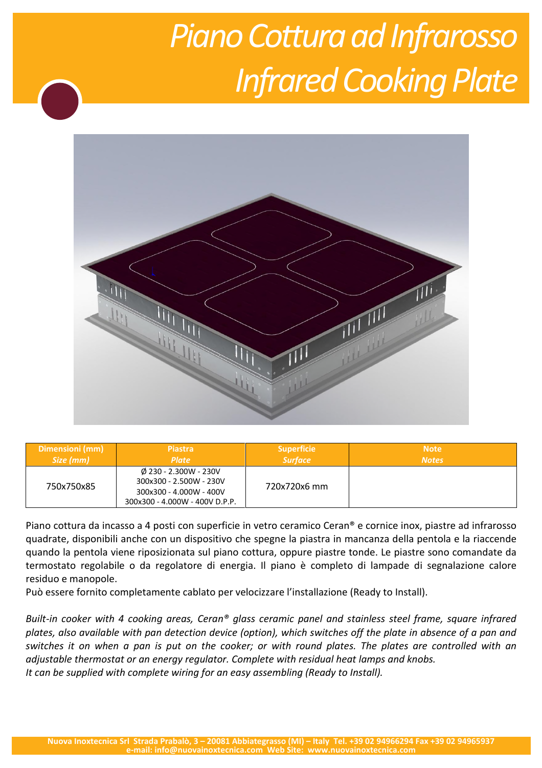## **Piano Cottura ad Infrarosso Infrared Cooking Plate**



| Dimensioni (mm) | <b>Piastra</b>                                                                                                          | <b>Superficie</b> | <b>Note</b>  |
|-----------------|-------------------------------------------------------------------------------------------------------------------------|-------------------|--------------|
| Size (mm)       | <b>Plate</b>                                                                                                            | <b>Surface</b>    | <b>Notes</b> |
| 750x750x85      | $\emptyset$ 230 - 2.300W - 230V<br>300x300 - 2.500W - 230V<br>300x300 - 4.000W - 400V<br>300x300 - 4.000W - 400V D.P.P. | 720x720x6 mm      |              |

Piano cottura da incasso a 4 posti con superficie in vetro ceramico Ceran® e cornice inox, piastre ad infrarosso quadrate, disponibili anche con un dispositivo che spegne la piastra in mancanza della pentola e la riaccende quando la pentola viene riposizionata sul piano cottura, oppure piastre tonde. Le piastre sono comandate da termostato regolabile o da regolatore di energia. Il piano è completo di lampade di segnalazione calore residuo e manopole.

Può essere fornito completamente cablato per velocizzare l'installazione (Ready to Install).

*Built-in cooker with 4 cooking areas, Ceran® glass ceramic panel and stainless steel frame, square infrared plates, also available with pan detection device (option), which switches off the plate in absence of a pan and switches it on when a pan is put on the cooker; or with round plates. The plates are controlled with an adjustable thermostat or an energy regulator. Complete with residual heat lamps and knobs. It can be supplied with complete wiring for an easy assembling (Ready to Install).*